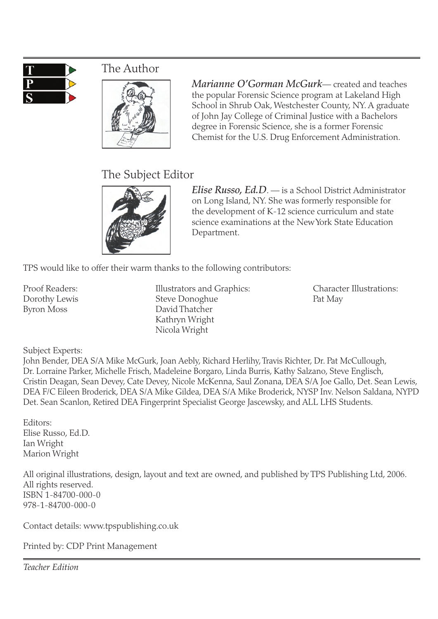

### The Author



*Marianne O'Gorman McGurk*— created and teaches the popular Forensic Science program at Lakeland High School in Shrub Oak, Westchester County, NY. A graduate of John Jay College of Criminal Justice with a Bachelors degree in Forensic Science, she is a former Forensic Chemist for the U.S. Drug Enforcement Administration.

### The Subject Editor



*Elise Russo, Ed.D*. — is a School District Administrator on Long Island, NY. She was formerly responsible for the development of K-12 science curriculum and state science examinations at the New York State Education Department.

TPS would like to offer their warm thanks to the following contributors:

Proof Readers: Illustrators and Graphics: Character Illustrations: Dorothy Lewis Steve Donoghue Pat May Byron Moss David Thatcher Kathryn Wright Nicola Wright

Subject Experts:

John Bender, DEA S/A Mike McGurk, Joan Aebly, Richard Herlihy, Travis Richter, Dr. Pat McCullough, Dr. Lorraine Parker, Michelle Frisch, Madeleine Borgaro, Linda Burris, Kathy Salzano, Steve Englisch, Cristin Deagan, Sean Devey, Cate Devey, Nicole McKenna, Saul Zonana, DEA S/A Joe Gallo, Det. Sean Lewis, DEA F/C Eileen Broderick, DEA S/A Mike Gildea, DEA S/A Mike Broderick, NYSP Inv. Nelson Saldana, NYPD Det. Sean Scanlon, Retired DEA Fingerprint Specialist George Jascewsky, and ALL LHS Students.

Editors: Elise Russo, Ed.D. Ian Wright Marion Wright

All original illustrations, design, layout and text are owned, and published by TPS Publishing Ltd, 2006. All rights reserved. ISBN 1-84700-000-0 978-1-84700-000-0

Contact details: www.tpspublishing.co.uk

Printed by: CDP Print Management

*Teacher Edition*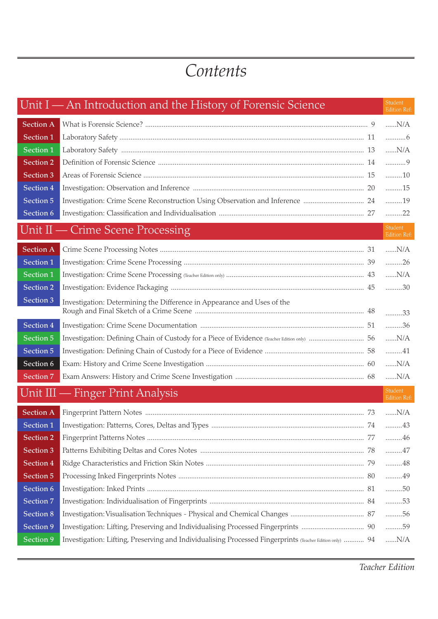# *Contents*

|                  | Unit I — An Introduction and the History of Forensic Science                                             | Student<br><b>Edition Ref:</b> |
|------------------|----------------------------------------------------------------------------------------------------------|--------------------------------|
| <b>Section A</b> |                                                                                                          | N/A                            |
| Section 1        |                                                                                                          | 6                              |
| Section 1        |                                                                                                          | N/A                            |
| Section 2        |                                                                                                          | 9                              |
| <b>Section 3</b> |                                                                                                          | $\ldots \ldots \ldots 10$      |
| Section 4        |                                                                                                          | 15                             |
| Section 5        |                                                                                                          | 19                             |
| Section 6        |                                                                                                          | 22                             |
|                  | Unit II — Crime Scene Processing                                                                         | Student<br>Edition Ref:        |
| <b>Section A</b> |                                                                                                          | N/A                            |
| Section 1        |                                                                                                          | 26                             |
| Section 1        |                                                                                                          | N/A                            |
| Section 2        |                                                                                                          | 30                             |
| Section 3        | Investigation: Determining the Difference in Appearance and Uses of the                                  | 33                             |
| Section 4        |                                                                                                          | 36                             |
| <b>Section 5</b> | Investigation: Defining Chain of Custody for a Piece of Evidence (Teacher Edition only)  56              | N/A                            |
| <b>Section 5</b> |                                                                                                          | 41                             |
| Section 6        |                                                                                                          | $N/A$                          |
| Section 7        |                                                                                                          | N/A                            |
|                  | Unit III — Finger Print Analysis                                                                         | Student<br>Edition Ref:        |
| <b>Section A</b> |                                                                                                          | N/A                            |
|                  |                                                                                                          | $\ldots \ldots \ldots 43$      |
| Section 2        |                                                                                                          | 46                             |
| Section 3        |                                                                                                          | 47                             |
| Section 4        |                                                                                                          | 48                             |
| Section 5        |                                                                                                          | 49                             |
| Section 6        |                                                                                                          | 50                             |
| Section 7        |                                                                                                          | 53                             |
| Section 8        |                                                                                                          | 56                             |
| Section 9        |                                                                                                          | 59                             |
| Section 9        | Investigation: Lifting, Preserving and Individualising Processed Fingerprints (Teacher Edition only)  94 | N/A                            |

*Teacher Edition*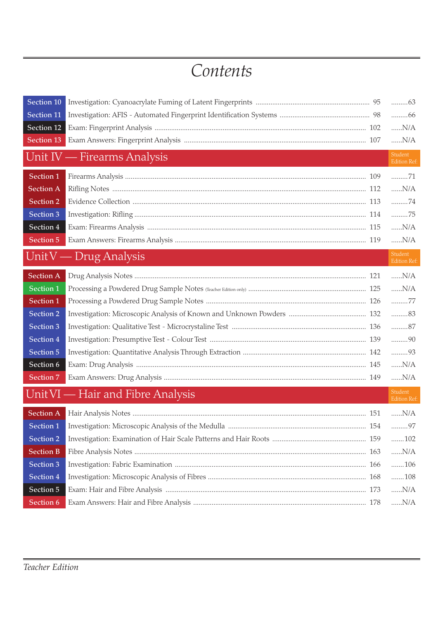# *Contents*

| Section 10       |                                   | 63                                                                                     |
|------------------|-----------------------------------|----------------------------------------------------------------------------------------|
| Section 11       |                                   | 66                                                                                     |
| Section 12       |                                   | N/A                                                                                    |
| Section 13       |                                   | N/A                                                                                    |
|                  | Unit IV — Firearms Analysis       | Student<br><b>Edition Ref:</b>                                                         |
| Section 1        |                                   | $\ldots \ldots \ldots 71$                                                              |
| <b>Section A</b> |                                   | N/A                                                                                    |
| Section 2        |                                   | $\ldots \ldots \ldots 74$                                                              |
| Section 3        |                                   | $\ldots \ldots \ldots 75$                                                              |
| Section 4        |                                   | N/A                                                                                    |
| Section 5        |                                   | N/A                                                                                    |
|                  | Unit V — Drug Analysis            | Student<br><b>Edition Ref:</b>                                                         |
| <b>Section A</b> |                                   | N/A                                                                                    |
| Section 1        |                                   | N/A                                                                                    |
| Section 1        |                                   | 77                                                                                     |
| Section 2        |                                   | $\ldots \ldots \ldots 83$                                                              |
| Section 3        |                                   | $\ldots \ldots \ldots 87$                                                              |
| Section 4        |                                   | $\ldots \ldots \ldots 90$                                                              |
| Section 5        |                                   | 93                                                                                     |
| Section 6        |                                   | $N/A$                                                                                  |
| Section 7        |                                   | N/A                                                                                    |
|                  | Unit VI — Hair and Fibre Analysis | Student<br><b>Edition Ref:</b>                                                         |
| Section A        |                                   | N/A                                                                                    |
| Section 1        |                                   | $\hspace{-0.08cm}\ldots\hspace{-0.08cm}\ldots\hspace{-0.08cm}\ldots\hspace{-0.08cm}97$ |
| Section 2        |                                   | 102                                                                                    |
| <b>Section B</b> |                                   | N/A                                                                                    |
| Section 3        |                                   | 106                                                                                    |
| Section 4        |                                   | $\ldots\ldots 108$                                                                     |
| Section 5        |                                   | N/A                                                                                    |
| Section 6        |                                   | N/A                                                                                    |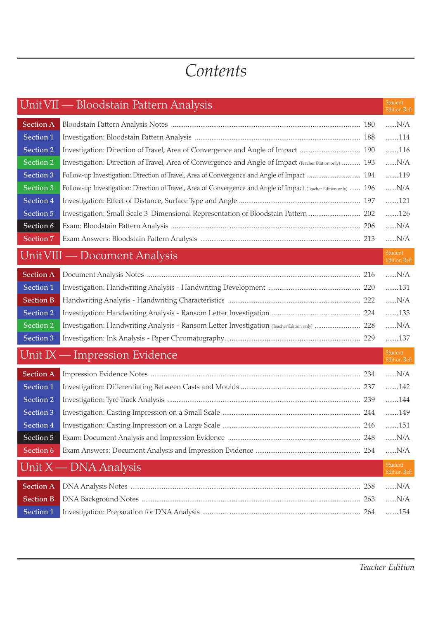# *Contents*

|                  | Unit VII — Bloodstain Pattern Analysis                                                                            | Student<br><b>Edition Ref:</b> |
|------------------|-------------------------------------------------------------------------------------------------------------------|--------------------------------|
| <b>Section A</b> |                                                                                                                   | N/A                            |
| Section 1        |                                                                                                                   | 114                            |
| Section 2        | Investigation: Direction of Travel, Area of Convergence and Angle of Impact  190                                  | $\ldots\ldots\ldots 116$       |
| Section 2        | Investigation: Direction of Travel, Area of Convergence and Angle of Impact (Teacher Edition only)  193           | N/A                            |
| Section 3        |                                                                                                                   | 119                            |
| Section 3        | Follow-up Investigation: Direction of Travel, Area of Convergence and Angle of Impact (Teacher Edition only)  196 | N/A                            |
| Section 4        |                                                                                                                   | 121                            |
| Section 5        | Investigation: Small Scale 3-Dimensional Representation of Bloodstain Pattern  202                                | 126                            |
| Section 6        |                                                                                                                   | N/A                            |
| Section 7        |                                                                                                                   | N/A                            |
|                  | Unit VIII — Document Analysis                                                                                     | Student<br><b>Edition Ref:</b> |
| <b>Section A</b> |                                                                                                                   | N/A                            |
| Section 1        |                                                                                                                   | 131                            |
| <b>Section B</b> |                                                                                                                   | $N/A$                          |
| Section 2        |                                                                                                                   | 133                            |
| Section 2        |                                                                                                                   | N/A                            |
| Section 3        |                                                                                                                   | 137                            |
|                  | Unit IX — Impression Evidence                                                                                     | Student<br>Edition Ref:        |
| <b>Section A</b> |                                                                                                                   | N/A                            |
| Section 1        |                                                                                                                   | 142                            |
| Section 2        |                                                                                                                   | 144                            |
| Section 3        |                                                                                                                   | 149                            |
| Section 4        |                                                                                                                   | $\dots\dots 151$               |
| Section 5        |                                                                                                                   | N/A                            |
| Section 6        |                                                                                                                   | N/A                            |
|                  | Unit $X$ — DNA Analysis                                                                                           | Student<br>Edition Ref:        |
| <b>Section A</b> |                                                                                                                   | ${\cal N}/ {\cal A}$           |
| <b>Section B</b> |                                                                                                                   | N/A                            |
| Section 1        |                                                                                                                   | 154                            |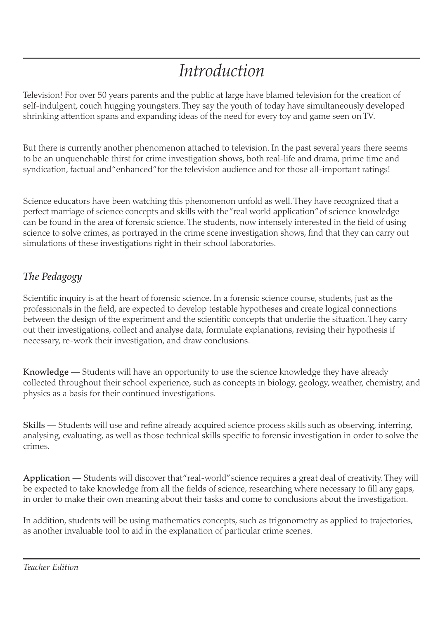# *Introduction*

Television! For over 50 years parents and the public at large have blamed television for the creation of self-indulgent, couch hugging youngsters. They say the youth of today have simultaneously developed shrinking attention spans and expanding ideas of the need for every toy and game seen on TV.

But there is currently another phenomenon attached to television. In the past several years there seems to be an unquenchable thirst for crime investigation shows, both real-life and drama, prime time and syndication, factual and "enhanced" for the television audience and for those all-important ratings!

Science educators have been watching this phenomenon unfold as well. They have recognized that a perfect marriage of science concepts and skills with the "real world application" of science knowledge can be found in the area of forensic science. The students, now intensely interested in the field of using science to solve crimes, as portrayed in the crime scene investigation shows, find that they can carry out simulations of these investigations right in their school laboratories.

### *The Pedagogy*

Scientific inquiry is at the heart of forensic science. In a forensic science course, students, just as the professionals in the field, are expected to develop testable hypotheses and create logical connections between the design of the experiment and the scientific concepts that underlie the situation. They carry out their investigations, collect and analyse data, formulate explanations, revising their hypothesis if necessary, re-work their investigation, and draw conclusions.

Knowledge — Students will have an opportunity to use the science knowledge they have already collected throughout their school experience, such as concepts in biology, geology, weather, chemistry, and physics as a basis for their continued investigations.

Skills — Students will use and refine already acquired science process skills such as observing, inferring, analysing, evaluating, as well as those technical skills specific to forensic investigation in order to solve the crimes.

Application — Students will discover that "real-world" science requires a great deal of creativity. They will be expected to take knowledge from all the fields of science, researching where necessary to fill any gaps, in order to make their own meaning about their tasks and come to conclusions about the investigation.

In addition, students will be using mathematics concepts, such as trigonometry as applied to trajectories, as another invaluable tool to aid in the explanation of particular crime scenes.

*Teacher Edition*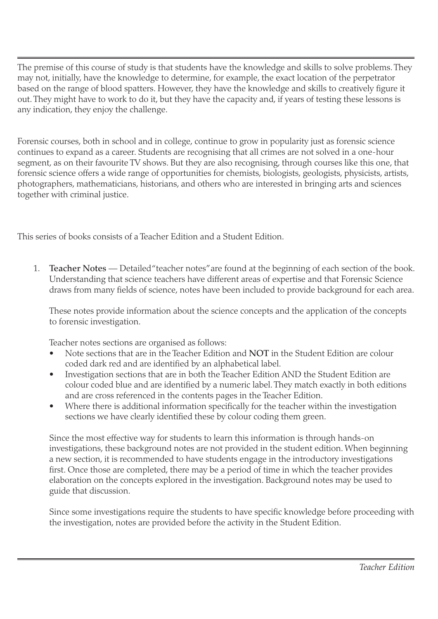The premise of this course of study is that students have the knowledge and skills to solve problems. They may not, initially, have the knowledge to determine, for example, the exact location of the perpetrator based on the range of blood spatters. However, they have the knowledge and skills to creatively figure it out. They might have to work to do it, but they have the capacity and, if years of testing these lessons is any indication, they enjoy the challenge.

Forensic courses, both in school and in college, continue to grow in popularity just as forensic science continues to expand as a career. Students are recognising that all crimes are not solved in a one-hour segment, as on their favourite TV shows. But they are also recognising, through courses like this one, that forensic science offers a wide range of opportunities for chemists, biologists, geologists, physicists, artists, photographers, mathematicians, historians, and others who are interested in bringing arts and sciences together with criminal justice.

This series of books consists of a Teacher Edition and a Student Edition.

1. Teacher Notes — Detailed "teacher notes" are found at the beginning of each section of the book. Understanding that science teachers have different areas of expertise and that Forensic Science draws from many fields of science, notes have been included to provide background for each area.

These notes provide information about the science concepts and the application of the concepts to forensic investigation.

Teacher notes sections are organised as follows:

- Note sections that are in the Teacher Edition and NOT in the Student Edition are colour coded dark red and are identified by an alphabetical label.
- Investigation sections that are in both the Teacher Edition AND the Student Edition are colour coded blue and are identified by a numeric label. They match exactly in both editions and are cross referenced in the contents pages in the Teacher Edition.
- Where there is additional information specifically for the teacher within the investigation sections we have clearly identified these by colour coding them green.

Since the most effective way for students to learn this information is through hands-on investigations, these background notes are not provided in the student edition. When beginning a new section, it is recommended to have students engage in the introductory investigations first. Once those are completed, there may be a period of time in which the teacher provides elaboration on the concepts explored in the investigation. Background notes may be used to guide that discussion.

Since some investigations require the students to have specific knowledge before proceeding with the investigation, notes are provided before the activity in the Student Edition.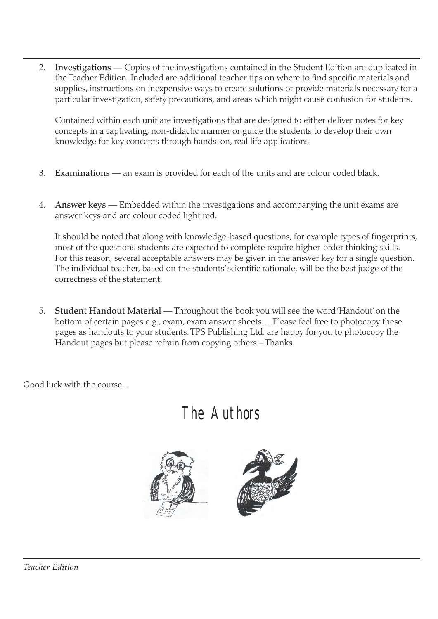2. Investigations — Copies of the investigations contained in the Student Edition are duplicated in the Teacher Edition. Included are additional teacher tips on where to find specific materials and supplies, instructions on inexpensive ways to create solutions or provide materials necessary for a particular investigation, safety precautions, and areas which might cause confusion for students.

Contained within each unit are investigations that are designed to either deliver notes for key concepts in a captivating, non-didactic manner or guide the students to develop their own knowledge for key concepts through hands-on, real life applications.

- 3. Examinations an exam is provided for each of the units and are colour coded black.
- 4. Answer keys Embedded within the investigations and accompanying the unit exams are answer keys and are colour coded light red.

It should be noted that along with knowledge-based questions, for example types of fingerprints, most of the questions students are expected to complete require higher-order thinking skills. For this reason, several acceptable answers may be given in the answer key for a single question. The individual teacher, based on the students' scientific rationale, will be the best judge of the correctness of the statement.

5. Student Handout Material — Throughout the book you will see the word 'Handout' on the bottom of certain pages e.g., exam, exam answer sheets… Please feel free to photocopy these pages as handouts to your students. TPS Publishing Ltd. are happy for you to photocopy the Handout pages but please refrain from copying others – Thanks.

Good luck with the course...

The Authors

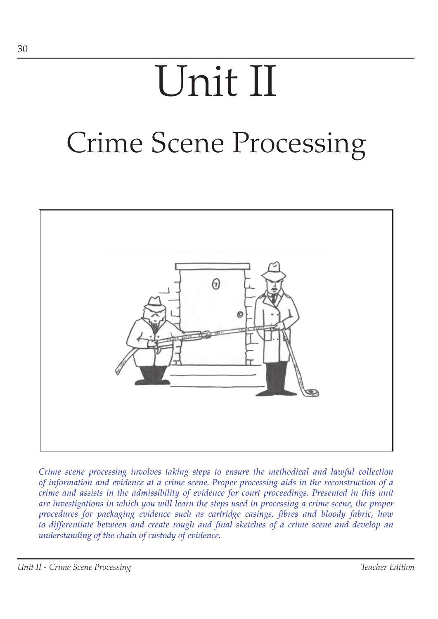# Unit II Crime Scene Processing



*Crime scene processing involves taking steps to ensure the methodical and lawful collection of information and evidence at a crime scene. Proper processing aids in the reconstruction of a crime and assists in the admissibility of evidence for court proceedings. Presented in this unit are investigations in which you will learn the steps used in processing a crime scene, the proper procedures for packaging evidence such as cartridge casings, fibres and bloody fabric, how to differentiate between and create rough and final sketches of a crime scene and develop an understanding of the chain of custody of evidence.*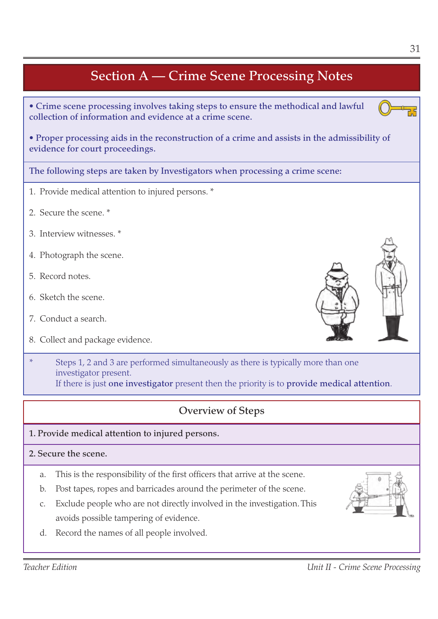• Crime scene processing involves taking steps to ensure the methodical and lawful collection of information and evidence at a crime scene.

• Proper processing aids in the reconstruction of a crime and assists in the admissibility of evidence for court proceedings.

The following steps are taken by Investigators when processing a crime scene:

- 1. Provide medical attention to injured persons. \*
- 2. Secure the scene. \*
- 3. Interview witnesses. \*
- 4. Photograph the scene.
- 5. Record notes.
- 6. Sketch the scene.
- 7. Conduct a search.
- 8. Collect and package evidence.

Steps 1, 2 and 3 are performed simultaneously as there is typically more than one investigator present. If there is just one investigator present then the priority is to provide medical attention.

### Overview of Steps

#### 1. Provide medical attention to injured persons.

#### 2. Secure the scene.

- a. This is the responsibility of the first officers that arrive at the scene.
- b. Post tapes, ropes and barricades around the perimeter of the scene.
- c. Exclude people who are not directly involved in the investigation. This avoids possible tampering of evidence.
- d. Record the names of all people involved.





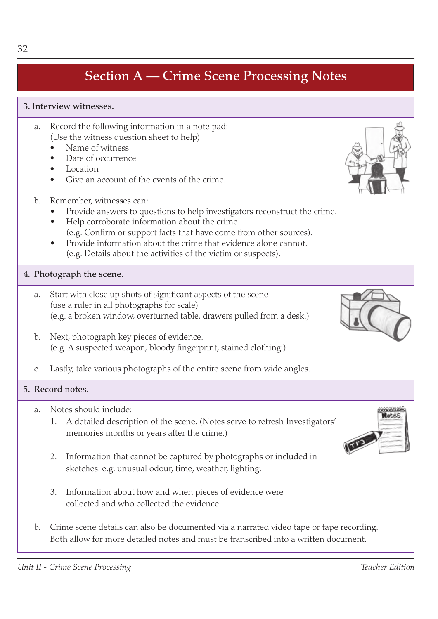#### 3. Interview witnesses.

- a. Record the following information in a note pad: (Use the witness question sheet to help)
	- Name of witness
	- Date of occurrence
	- **Location**
	- Give an account of the events of the crime.
- b. Remember, witnesses can:
	- Provide answers to questions to help investigators reconstruct the crime.
	- Help corroborate information about the crime. (e.g. Confirm or support facts that have come from other sources).
	- Provide information about the crime that evidence alone cannot. (e.g. Details about the activities of the victim or suspects).

#### 4. Photograph the scene.

- a. Start with close up shots of significant aspects of the scene (use a ruler in all photographs for scale) (e.g. a broken window, overturned table, drawers pulled from a desk.)
- b. Next, photograph key pieces of evidence. (e.g. A suspected weapon, bloody fingerprint, stained clothing.)
- c. Lastly, take various photographs of the entire scene from wide angles.

### 5. Record notes.

- a. Notes should include:
	- 1. A detailed description of the scene. (Notes serve to refresh Investigators' memories months or years after the crime.)
	- 2. Information that cannot be captured by photographs or included in sketches. e.g. unusual odour, time, weather, lighting.
	- 3. Information about how and when pieces of evidence were collected and who collected the evidence.
- b. Crime scene details can also be documented via a narrated video tape or tape recording. Both allow for more detailed notes and must be transcribed into a written document.



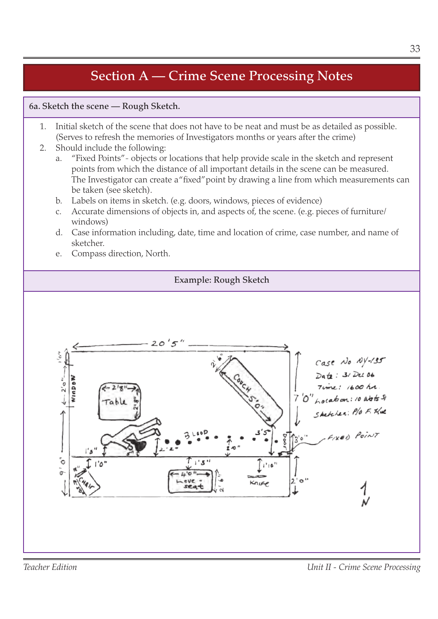### 6a. Sketch the scene — Rough Sketch.

- 1. Initial sketch of the scene that does not have to be neat and must be as detailed as possible. (Serves to refresh the memories of Investigators months or years after the crime)
- 2. Should include the following:
	- a. "Fixed Points"- objects or locations that help provide scale in the sketch and represent points from which the distance of all important details in the scene can be measured. The Investigator can create a "fixed" point by drawing a line from which measurements can be taken (see sketch).
	- b. Labels on items in sketch. (e.g. doors, windows, pieces of evidence)
	- c. Accurate dimensions of objects in, and aspects of, the scene. (e.g. pieces of furniture/ windows)
	- d. Case information including, date, time and location of crime, case number, and name of sketcher.
	- e. Compass direction, North.

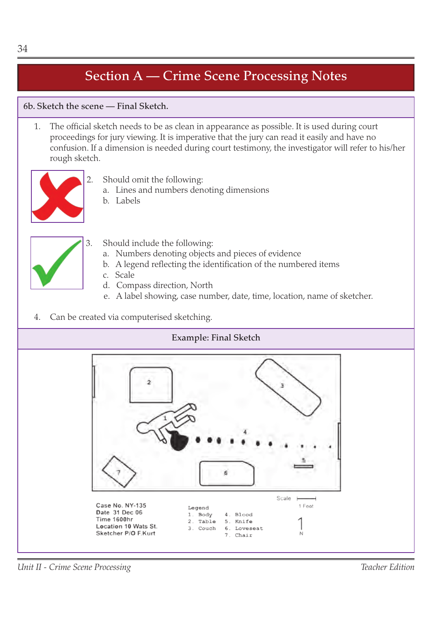### 6b. Sketch the scene — Final Sketch.

1. The official sketch needs to be as clean in appearance as possible. It is used during court proceedings for jury viewing. It is imperative that the jury can read it easily and have no confusion. If a dimension is needed during court testimony, the investigator will refer to his/her rough sketch.

![](_page_11_Figure_3.jpeg)

- 2. Should omit the following:
	- a. Lines and numbers denoting dimensions
	- b. Labels

![](_page_11_Figure_7.jpeg)

- Should include the following:
- a. Numbers denoting objects and pieces of evidence
- b. A legend reflecting the identification of the numbered items
- c. Scale
- d. Compass direction, North
- e. A label showing, case number, date, time, location, name of sketcher.
- 4. Can be created via computerised sketching.

![](_page_11_Figure_15.jpeg)

*Unit II - Crime Scene Processing Teacher Edition*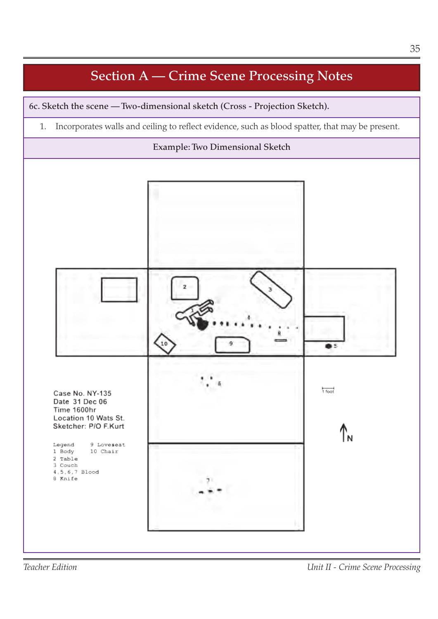![](_page_12_Figure_1.jpeg)

*Teacher Edition Unit II - Crime Scene Processing*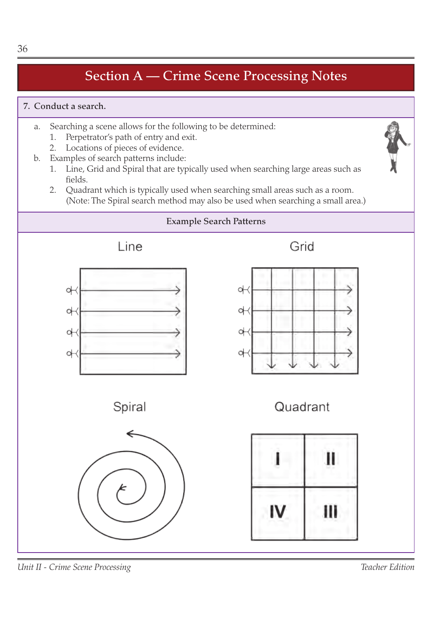### 7. Conduct a search.

- a. Searching a scene allows for the following to be determined:
	- 1. Perpetrator's path of entry and exit.
	- 2. Locations of pieces of evidence.
- b. Examples of search patterns include:
	- 1. Line, Grid and Spiral that are typically used when searching large areas such as fields.
	- 2. Quadrant which is typically used when searching small areas such as a room. (Note: The Spiral search method may also be used when searching a small area.)

![](_page_13_Figure_8.jpeg)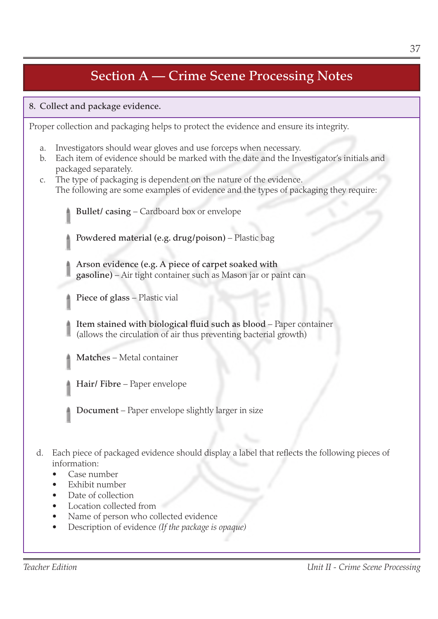### 8. Collect and package evidence.

Proper collection and packaging helps to protect the evidence and ensure its integrity.

- a. Investigators should wear gloves and use forceps when necessary.
- b. Each item of evidence should be marked with the date and the Investigator's initials and packaged separately.
- c. The type of packaging is dependent on the nature of the evidence. The following are some examples of evidence and the types of packaging they require:

Bullet/ casing – Cardboard box or envelope

Powdered material (e.g. drug/poison) – Plastic bag

Arson evidence (e.g. A piece of carpet soaked with gasoline) – Air tight container such as Mason jar or paint can

Piece of glass – Plastic vial

Item stained with biological fluid such as blood – Paper container (allows the circulation of air thus preventing bacterial growth)

Matches – Metal container

Hair/ Fibre – Paper envelope

- Document Paper envelope slightly larger in size
- d. Each piece of packaged evidence should display a label that reflects the following pieces of information:
	- Case number
	- Exhibit number
	- Date of collection
	- Location collected from
	- Name of person who collected evidence
	- Description of evidence *(If the package is opaque)*

37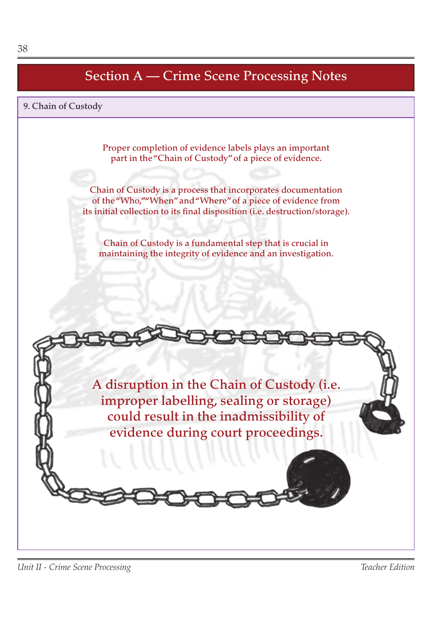#### 9. Chain of Custody

Proper completion of evidence labels plays an important part in the "Chain of Custody" of a piece of evidence.

Chain of Custody is a process that incorporates documentation of the "Who,""When" and "Where" of a piece of evidence from its initial collection to its final disposition (i.e. destruction/storage).

Chain of Custody is a fundamental step that is crucial in maintaining the integrity of evidence and an investigation.

![](_page_15_Picture_5.jpeg)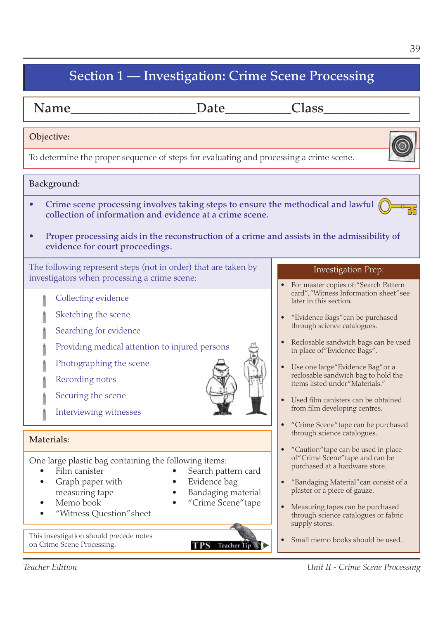| Name_                                                                                                                                        | Date                                     | Class                                                                                |
|----------------------------------------------------------------------------------------------------------------------------------------------|------------------------------------------|--------------------------------------------------------------------------------------|
| Objective:                                                                                                                                   |                                          |                                                                                      |
| To determine the proper sequence of steps for evaluating and processing a crime scene.                                                       |                                          |                                                                                      |
| Background:                                                                                                                                  |                                          |                                                                                      |
| Crime scene processing involves taking steps to ensure the methodical and lawful<br>collection of information and evidence at a crime scene. |                                          |                                                                                      |
| Proper processing aids in the reconstruction of a crime and assists in the admissibility of<br>evidence for court proceedings.               |                                          |                                                                                      |
| The following represent steps (not in order) that are taken by<br>investigators when processing a crime scene:                               |                                          | <b>Investigation Prep:</b><br>For master copies of: "Search Pattern                  |
| Collecting evidence                                                                                                                          |                                          | card", "Witness Information sheet" see<br>later in this section.                     |
| Sketching the scene                                                                                                                          |                                          | "Evidence Bags" can be purchased                                                     |
| Searching for evidence                                                                                                                       |                                          | through science catalogues.                                                          |
| Providing medical attention to injured persons                                                                                               |                                          | Reclosable sandwich bags can be used<br>in place of "Evidence Bags".                 |
| Photographing the scene                                                                                                                      |                                          | Use one large "Evidence Bag" or a                                                    |
| Recording notes                                                                                                                              |                                          | reclosable sandwich bag to hold the<br>items listed under "Materials."               |
| Securing the scene                                                                                                                           |                                          | Used film canisters can be obtained                                                  |
| Interviewing witnesses                                                                                                                       |                                          | from film developing centres.                                                        |
| Materials:                                                                                                                                   |                                          | "Crime Scene" tape can be purchased<br>through science catalogues.                   |
|                                                                                                                                              |                                          | "Caution" tape can be used in place<br>$\bullet$<br>of "Crime Scene" tape and can be |
| One large plastic bag containing the following items:<br>Film canister                                                                       | Search pattern card                      | purchased at a hardware store.                                                       |
| Graph paper with                                                                                                                             | Evidence bag                             | "Bandaging Material" can consist of a                                                |
| measuring tape<br>Memo book                                                                                                                  | Bandaging material<br>"Crime Scene" tape | plaster or a piece of gauze.                                                         |
| "Witness Question" sheet                                                                                                                     |                                          | Measuring tapes can be purchased<br>through science catalogues or fabric             |
| This investigation should precede notes<br>on Crime Scene Processing.                                                                        | TPS<br>Teacher Ti                        | supply stores.<br>Small memo books should be used.                                   |
| Teacher Edition                                                                                                                              |                                          | Unit II - Crime Scene Processing                                                     |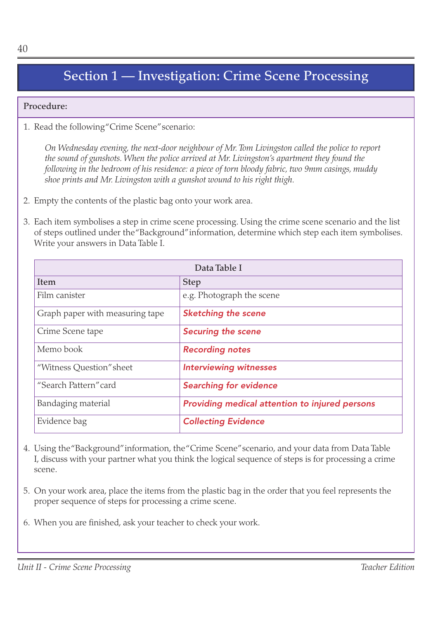#### Procedure:

1. Read the following "Crime Scene" scenario:

*On Wednesday evening, the next-door neighbour of Mr. Tom Livingston called the police to report the sound of gunshots. When the police arrived at Mr. Livingston's apartment they found the following in the bedroom of his residence: a piece of torn bloody fabric, two 9mm casings, muddy shoe prints and Mr. Livingston with a gunshot wound to his right thigh.* 

- 2. Empty the contents of the plastic bag onto your work area.
- 3. Each item symbolises a step in crime scene processing. Using the crime scene scenario and the list of steps outlined under the "Background" information, determine which step each item symbolises. Write your answers in Data Table I.

| Data Table I                    |                                                |  |  |
|---------------------------------|------------------------------------------------|--|--|
| Item                            | <b>Step</b>                                    |  |  |
| Film canister                   | e.g. Photograph the scene                      |  |  |
| Graph paper with measuring tape | <b>Sketching the scene</b>                     |  |  |
| Crime Scene tape                | <b>Securing the scene</b>                      |  |  |
| Memo book                       | <b>Recording notes</b>                         |  |  |
| "Witness Question" sheet        | <b>Interviewing witnesses</b>                  |  |  |
| "Search Pattern" card           | <b>Searching for evidence</b>                  |  |  |
| Bandaging material              | Providing medical attention to injured persons |  |  |
| Evidence bag                    | <b>Collecting Evidence</b>                     |  |  |

- 4. Using the "Background" information, the "Crime Scene" scenario, and your data from Data Table I, discuss with your partner what you think the logical sequence of steps is for processing a crime scene.
- 5. On your work area, place the items from the plastic bag in the order that you feel represents the proper sequence of steps for processing a crime scene.
- 6. When you are finished, ask your teacher to check your work.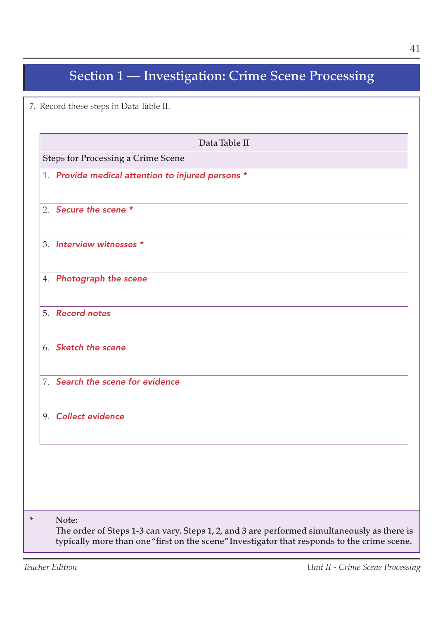\* Note: The order of Steps 1-3 can vary. Steps 1, 2, and 3 are performed simultaneously as there is typically more than one "first on the scene" Investigator that responds to the crime scene. 7. Record these steps in Data Table II. Data Table II Steps for Processing a Crime Scene 1. *Provide medical attention to injured persons \** 2. *Secure the scene \** 3. *Interview witnesses \** 4. *Photograph the scene* 5. *Record notes* 6. *Sketch the scene* 7. *Search the scene for evidence* 9. *Collect evidence*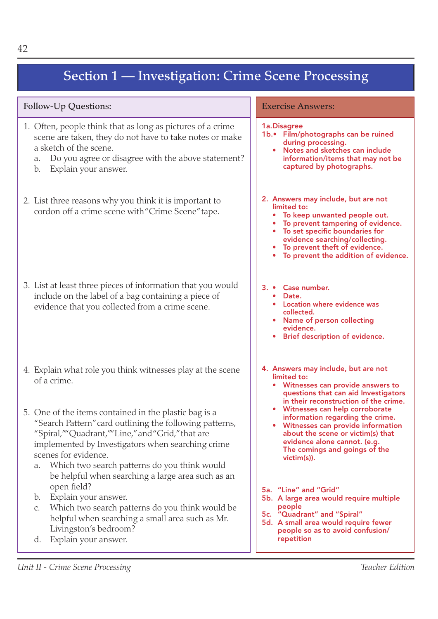| Follow-Up Questions:                                                                                                                                                                                                                                                                                                                                         | <b>Exercise Answers:</b>                                                                                                                                                                                                                                             |
|--------------------------------------------------------------------------------------------------------------------------------------------------------------------------------------------------------------------------------------------------------------------------------------------------------------------------------------------------------------|----------------------------------------------------------------------------------------------------------------------------------------------------------------------------------------------------------------------------------------------------------------------|
| 1. Often, people think that as long as pictures of a crime<br>scene are taken, they do not have to take notes or make<br>a sketch of the scene.<br>Do you agree or disagree with the above statement?<br>a.<br>Explain your answer.<br>b.                                                                                                                    | 1a. Disagree<br>1b.• Film/photographs can be ruined<br>during processing.<br>Notes and sketches can include<br>information/items that may not be<br>captured by photographs.                                                                                         |
| 2. List three reasons why you think it is important to<br>cordon off a crime scene with "Crime Scene" tape.                                                                                                                                                                                                                                                  | 2. Answers may include, but are not<br>limited to:<br>To keep unwanted people out.<br>To prevent tampering of evidence.<br>To set specific boundaries for<br>evidence searching/collecting.<br>To prevent theft of evidence.<br>To prevent the addition of evidence. |
| 3. List at least three pieces of information that you would<br>include on the label of a bag containing a piece of<br>evidence that you collected from a crime scene.                                                                                                                                                                                        | Case number.<br>$3. \bullet$<br>Date.<br>Location where evidence was<br>collected.<br><b>Name of person collecting</b><br>evidence.<br><b>Brief description of evidence.</b>                                                                                         |
| 4. Explain what role you think witnesses play at the scene<br>of a crime.                                                                                                                                                                                                                                                                                    | 4. Answers may include, but are not<br>limited to:<br>Witnesses can provide answers to<br>$\bullet$<br>questions that can aid Investigators<br>in their reconstruction of the crime.                                                                                 |
| 5. One of the items contained in the plastic bag is a<br>"Search Pattern" card outlining the following patterns,<br>"Spiral,""Quadrant,""Line," and "Grid," that are<br>implemented by Investigators when searching crime<br>scenes for evidence.<br>Which two search patterns do you think would<br>a.<br>be helpful when searching a large area such as an | Witnesses can help corroborate<br>information regarding the crime.<br>• Witnesses can provide information<br>about the scene or victim(s) that<br>evidence alone cannot. (e.g.<br>The comings and goings of the<br>victim(s)).                                       |
| open field?<br>Explain your answer.<br>b.<br>Which two search patterns do you think would be<br>C.<br>helpful when searching a small area such as Mr.<br>Livingston's bedroom?<br>Explain your answer.<br>d.                                                                                                                                                 | 5a. "Line" and "Grid"<br>5b. A large area would require multiple<br>people<br>5c. "Quadrant" and "Spiral"<br>5d. A small area would require fewer<br>people so as to avoid confusion/<br>repetition                                                                  |
|                                                                                                                                                                                                                                                                                                                                                              |                                                                                                                                                                                                                                                                      |

*Unit II - Crime Scene Processing Teacher Edition*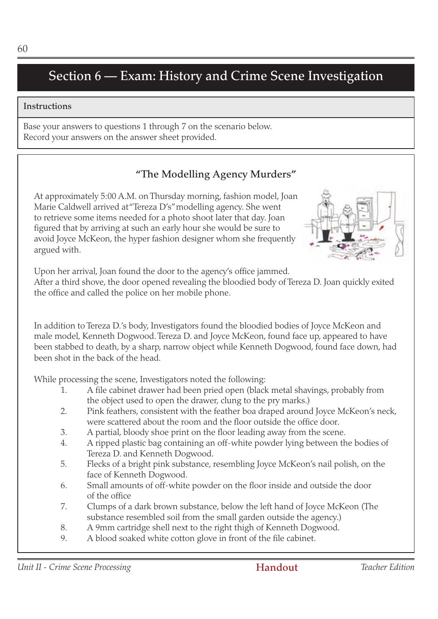### Instructions

Base your answers to questions 1 through 7 on the scenario below. Record your answers on the answer sheet provided.

### "The Modelling Agency Murders"

At approximately 5:00 A.M. on Thursday morning, fashion model, Joan Marie Caldwell arrived at "Tereza D's" modelling agency. She went to retrieve some items needed for a photo shoot later that day. Joan figured that by arriving at such an early hour she would be sure to avoid Joyce McKeon, the hyper fashion designer whom she frequently argued with.

![](_page_20_Picture_5.jpeg)

Upon her arrival, Joan found the door to the agency's office jammed.

After a third shove, the door opened revealing the bloodied body of Tereza D. Joan quickly exited the office and called the police on her mobile phone.

In addition to Tereza D.'s body, Investigators found the bloodied bodies of Joyce McKeon and male model, Kenneth Dogwood. Tereza D. and Joyce McKeon, found face up, appeared to have been stabbed to death, by a sharp, narrow object while Kenneth Dogwood, found face down, had been shot in the back of the head.

While processing the scene, Investigators noted the following:

- 1. A file cabinet drawer had been pried open (black metal shavings, probably from the object used to open the drawer, clung to the pry marks.)
- 2. Pink feathers, consistent with the feather boa draped around Joyce McKeon's neck, were scattered about the room and the floor outside the office door.
- 3. A partial, bloody shoe print on the floor leading away from the scene.
- 4. A ripped plastic bag containing an off-white powder lying between the bodies of Tereza D. and Kenneth Dogwood.
- 5. Flecks of a bright pink substance, resembling Joyce McKeon's nail polish, on the face of Kenneth Dogwood.
- 6. Small amounts of off-white powder on the floor inside and outside the door of the office
- 7. Clumps of a dark brown substance, below the left hand of Joyce McKeon (The substance resembled soil from the small garden outside the agency.)
- 8. A 9mm cartridge shell next to the right thigh of Kenneth Dogwood.
- 9. A blood soaked white cotton glove in front of the file cabinet.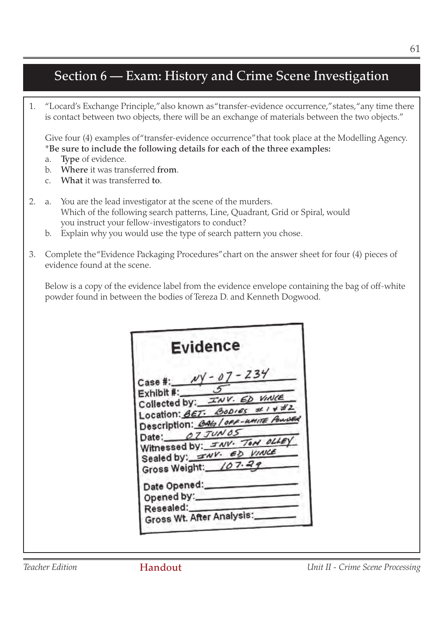1. "Locard's Exchange Principle," also known as "transfer-evidence occurrence," states, "any time there is contact between two objects, there will be an exchange of materials between the two objects."

Give four (4) examples of "transfer-evidence occurrence" that took place at the Modelling Agency. \*Be sure to include the following details for each of the three examples:

- a. Type of evidence.
- b. Where it was transferred from.
- c. What it was transferred to.
- 2. a. You are the lead investigator at the scene of the murders. Which of the following search patterns, Line, Quadrant, Grid or Spiral, would you instruct your fellow-investigators to conduct?
	- b. Explain why you would use the type of search pattern you chose.
- 3. Complete the "Evidence Packaging Procedures" chart on the answer sheet for four (4) pieces of evidence found at the scene.

Below is a copy of the evidence label from the evidence envelope containing the bag of off-white powder found in between the bodies of Tereza D. and Kenneth Dogwood.

|                                                                  | <b>Evidence</b> |  |
|------------------------------------------------------------------|-----------------|--|
| Case #: $\frac{\cancel{N} - \cancel{07} - 234}{\cancel{01}}$     |                 |  |
| Exhibit #: 5<br>Collected by: <i>INV. ED VINCE</i>               |                 |  |
|                                                                  |                 |  |
| Location: BET: BODIES #14#2                                      |                 |  |
| Description: BAG/OFF-UMITE POWDER                                |                 |  |
| Date: 07 JUNOS                                                   |                 |  |
| Witnessed by: <i>INV. Tort OLLEY</i><br>Sealed by: INV. ED VINCE |                 |  |
| Gross Weight: 107.29                                             |                 |  |
|                                                                  |                 |  |
| Date Opened:                                                     |                 |  |
| Opened by:                                                       |                 |  |
| Resealed:                                                        |                 |  |
| Gross Wt. After Analysis:                                        |                 |  |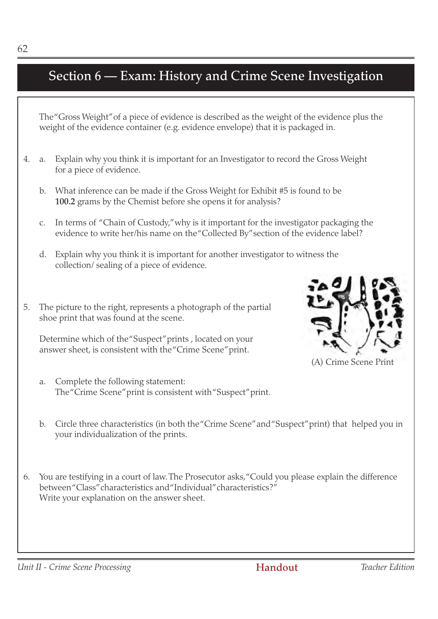# Section 6 – Exam: History and Crime Scene Investigation

The "Gross Weight" of a piece of evidence is described as the weight of the evidence plus the weight of the evidence container (e.g. evidence envelope) that it is packaged in.

- 4. a. Explain why you think it is important for an Investigator to record the Gross Weight for a piece of evidence.
	- b. What inference can be made if the Gross Weight for Exhibit #5 is found to be 100.2 grams by the Chemist before she opens it for analysis?
	- c. In terms of "Chain of Custody," why is it important for the investigator packaging the evidence to write her/his name on the "Collected By" section of the evidence label?
	- d. Explain why you think it is important for another investigator to witness the collection/ sealing of a piece of evidence.
- 5. The picture to the right, represents a photograph of the partial shoe print that was found at the scene.

Determine which of the "Suspect" prints , located on your answer sheet, is consistent with the "Crime Scene" print.

- a. Complete the following statement: The "Crime Scene" print is consistent with "Suspect" print.
- b. Circle three characteristics (in both the "Crime Scene" and "Suspect" print) that helped you in your individualization of the prints.
- 6. You are testifying in a court of law. The Prosecutor asks, "Could you please explain the difference between "Class" characteristics and "Individual" characteristics?" Write your explanation on the answer sheet.

![](_page_22_Picture_14.jpeg)

(A) Crime Scene Print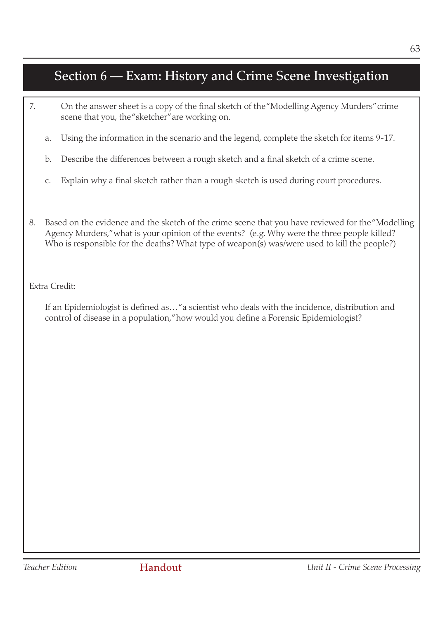- 7. On the answer sheet is a copy of the final sketch of the "Modelling Agency Murders" crime scene that you, the "sketcher" are working on.
	- a. Using the information in the scenario and the legend, complete the sketch for items 9-17.
	- b. Describe the differences between a rough sketch and a final sketch of a crime scene.
	- c. Explain why a final sketch rather than a rough sketch is used during court procedures.
- 8. Based on the evidence and the sketch of the crime scene that you have reviewed for the "Modelling Agency Murders," what is your opinion of the events? (e.g. Why were the three people killed? Who is responsible for the deaths? What type of weapon(s) was/were used to kill the people?)

Extra Credit:

If an Epidemiologist is defined as… "a scientist who deals with the incidence, distribution and control of disease in a population," how would you define a Forensic Epidemiologist?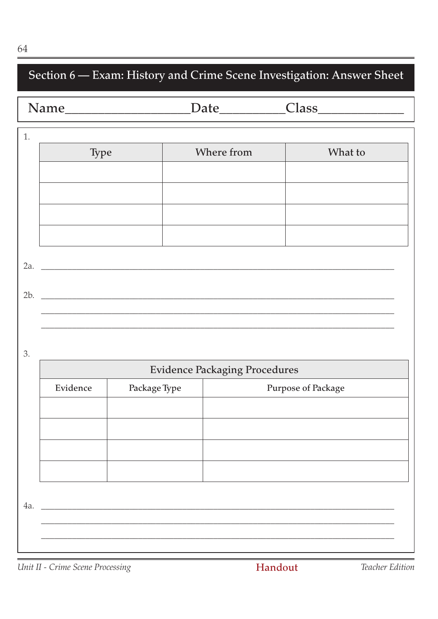| 1.  |             |              |                                      |                    |
|-----|-------------|--------------|--------------------------------------|--------------------|
|     | <b>Type</b> |              | Where from                           | What to            |
|     |             |              |                                      |                    |
|     |             |              |                                      |                    |
|     |             |              |                                      |                    |
|     |             |              |                                      |                    |
|     |             |              |                                      |                    |
|     |             |              |                                      |                    |
|     |             |              |                                      |                    |
| 2b. |             |              |                                      |                    |
|     |             |              |                                      |                    |
|     |             |              |                                      |                    |
|     |             |              |                                      |                    |
| 3.  |             |              |                                      |                    |
|     |             |              | <b>Evidence Packaging Procedures</b> |                    |
|     | Evidence    | Package Type |                                      | Purpose of Package |
|     |             |              |                                      |                    |
|     |             |              |                                      |                    |
|     |             |              |                                      |                    |
|     |             |              |                                      |                    |
|     |             |              |                                      |                    |
|     | 4a.         |              |                                      |                    |
|     |             |              |                                      |                    |
|     |             |              |                                      |                    |
|     |             |              |                                      |                    |

Teacher Edition

64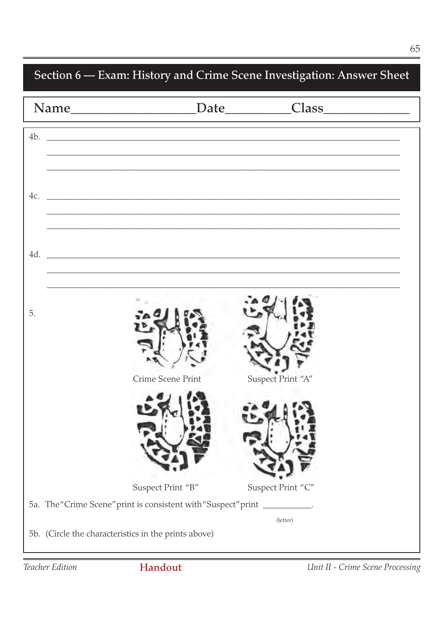Name **Mame
Class**Mame
Class
Class
Class
Class
Class
Class
Class
Class
Class
Class
Class
Class
Class
Class
Class
Class
Class
Class
Class
Class
Class
Class
Class
Class
Class
Class
Class
Class
Class
Class
Class
Class
Class
C  $4b.$  $4c.$ 4d. 5. Suspect Print "A" Crime Scene Print Suspect Print "C" Suspect Print "B" 5a. The "Crime Scene" print is consistent with "Suspect" print \_\_ (letter) 5b. (Circle the characteristics in the prints above)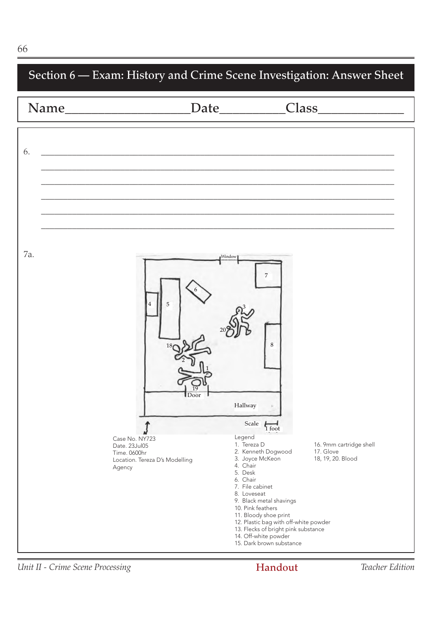### Section 6 — Exam: History and Crime Scene Investigation: Answer Sheet Name\_\_\_\_\_\_\_\_\_\_\_\_\_\_\_\_\_\_\_Date\_\_\_\_\_\_\_\_\_\_Class\_\_\_\_\_\_\_\_\_\_\_\_\_  $6.$ \_\_\_\_\_\_\_\_\_\_\_\_\_\_\_\_\_\_\_\_\_\_\_\_\_\_\_\_\_\_\_\_\_\_\_\_\_\_\_\_\_\_\_\_\_\_\_\_\_\_\_\_\_\_\_\_\_\_\_\_\_\_\_\_\_\_\_\_\_\_\_\_\_\_\_\_\_\_\_\_ \_\_\_\_\_\_\_\_\_\_\_\_\_\_\_\_\_\_\_\_\_\_\_\_\_\_\_\_\_\_\_\_\_\_\_\_\_\_\_\_\_\_\_\_\_\_\_\_\_\_\_\_\_\_\_\_\_\_\_\_\_\_\_\_\_\_\_\_\_\_\_\_\_\_\_\_\_\_\_\_ \_\_\_\_\_\_\_\_\_\_\_\_\_\_\_\_\_\_\_\_\_\_\_\_\_\_\_\_\_\_\_\_\_\_\_\_\_\_\_\_\_\_\_\_\_\_\_\_\_\_\_\_\_\_\_\_\_\_\_\_\_\_\_\_\_\_\_\_\_\_\_\_\_\_\_\_\_\_\_\_ \_\_\_\_\_\_\_\_\_\_\_\_\_\_\_\_\_\_\_\_\_\_\_\_\_\_\_\_\_\_\_\_\_\_\_\_\_\_\_\_\_\_\_\_\_\_\_\_\_\_\_\_\_\_\_\_\_\_\_\_\_\_\_\_\_\_\_\_\_\_\_\_\_\_\_\_\_\_\_\_ \_\_\_\_\_\_\_\_\_\_\_\_\_\_\_\_\_\_\_\_\_\_\_\_\_\_\_\_\_\_\_\_\_\_\_\_\_\_\_\_\_\_\_\_\_\_\_\_\_\_\_\_\_\_\_\_\_\_\_\_\_\_\_\_\_\_\_\_\_\_\_\_\_\_\_\_\_\_\_\_ 7a. Case No. NY723 Date. 23Jul05 Time. 0600hr Location. Tereza D's Modelling Agency Legend<br>1. Tereza D 16. 9mm cartridge shell<br>17. Glove 2. Kenneth Dogwood 17. Glove<br>
3. Joyce McKeon 18, 19, 20. Blood 3. Joyce McKeon 4. Chair 5. Desk 6. Chair 7. File cabinet 8. Loveseat 9. Black metal shavings 10. Pink feathers 11. Bloody shoe print 12. Plastic bag with off-white powder 13. Flecks of bright pink substance 14. Off-white powder 15. Dark brown substance 1 19 2 18 4 || 5 6 7 8 Door Hallway Scale 1 foot 20 3 Window

### Handout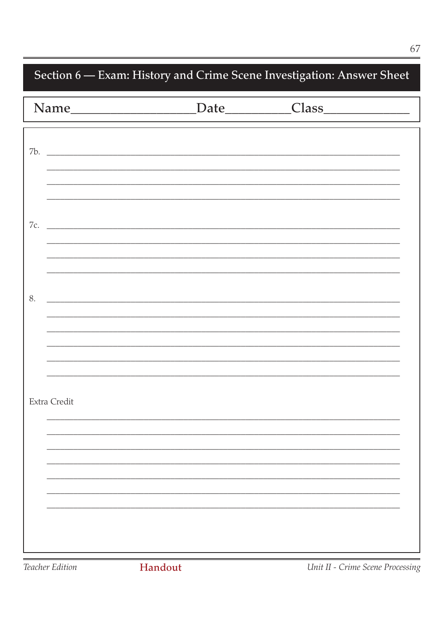| 7b. | <u> 1989 - Johann Harry Harry Harry Harry Harry Harry Harry Harry Harry Harry Harry Harry Harry Harry Harry Harry</u> |  |
|-----|-----------------------------------------------------------------------------------------------------------------------|--|
| 7c. | <u> 2001 - Jan James James Barnett, amerikan berlindar (h. 1878).</u>                                                 |  |
| 8.  | <u> 1980 - Jan Barnett, fransk kongresu i skuest (d. 1980)</u>                                                        |  |
|     |                                                                                                                       |  |
|     | Extra Credit                                                                                                          |  |
|     |                                                                                                                       |  |
|     |                                                                                                                       |  |

Teacher Edition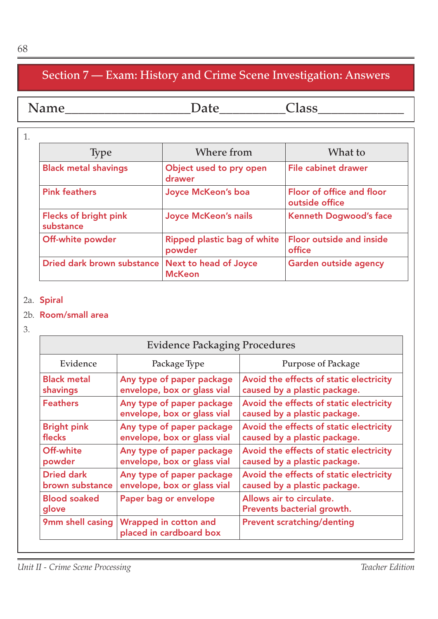## Name\_\_\_\_\_\_\_\_\_\_\_\_\_\_\_\_\_\_\_Date\_\_\_\_\_\_\_\_\_\_Class\_\_\_\_\_\_\_\_\_\_\_\_\_

| <b>Type</b>                               | Where from                                    | What to                                     |
|-------------------------------------------|-----------------------------------------------|---------------------------------------------|
| <b>Black metal shavings</b>               | Object used to pry open<br>drawer             | <b>File cabinet drawer</b>                  |
| <b>Pink feathers</b>                      | Joyce McKeon's boa                            | Floor of office and floor<br>outside office |
| <b>Flecks of bright pink</b><br>substance | <b>Joyce McKeon's nails</b>                   | <b>Kenneth Dogwood's face</b>               |
| Off-white powder                          | Ripped plastic bag of white<br>powder         | <b>Floor outside and inside</b><br>office   |
| Dried dark brown substance                | <b>Next to head of Joyce</b><br><b>McKeon</b> | <b>Garden outside agency</b>                |

### 2a. Spiral

### 2b. Room/small area

3.

| <b>Evidence Packaging Procedures</b> |                                                          |                                                                         |  |  |
|--------------------------------------|----------------------------------------------------------|-------------------------------------------------------------------------|--|--|
| Evidence                             | Package Type                                             | <b>Purpose of Package</b>                                               |  |  |
| <b>Black metal</b><br>shavings       | Any type of paper package<br>envelope, box or glass vial | Avoid the effects of static electricity<br>caused by a plastic package. |  |  |
| <b>Feathers</b>                      | Any type of paper package<br>envelope, box or glass vial | Avoid the effects of static electricity<br>caused by a plastic package. |  |  |
| <b>Bright pink</b><br>flecks         | Any type of paper package<br>envelope, box or glass vial | Avoid the effects of static electricity<br>caused by a plastic package. |  |  |
| Off-white<br>powder                  | Any type of paper package<br>envelope, box or glass vial | Avoid the effects of static electricity<br>caused by a plastic package. |  |  |
| <b>Dried dark</b><br>brown substance | Any type of paper package<br>envelope, box or glass vial | Avoid the effects of static electricity<br>caused by a plastic package. |  |  |
| <b>Blood soaked</b><br>glove         | Paper bag or envelope                                    | Allows air to circulate.<br>Prevents bacterial growth.                  |  |  |
| 9mm shell casing                     | <b>Wrapped in cotton and</b><br>placed in cardboard box  | <b>Prevent scratching/denting</b>                                       |  |  |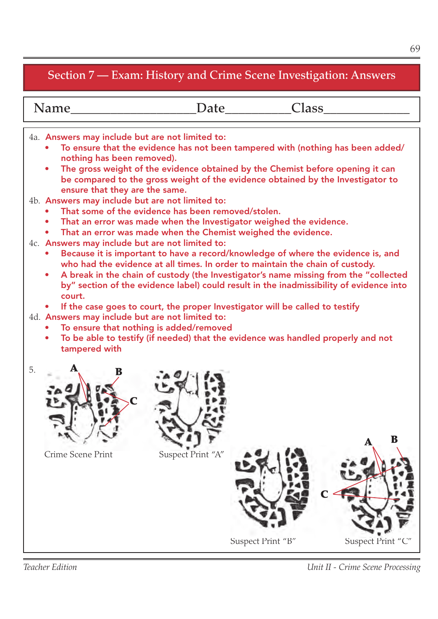Name Date Date Class

- 4a. Answers may include but are not limited to:
	- To ensure that the evidence has not been tampered with (nothing has been added/ nothing has been removed).
	- The gross weight of the evidence obtained by the Chemist before opening it can be compared to the gross weight of the evidence obtained by the Investigator to ensure that they are the same.
- 4b. Answers may include but are not limited to:
	- That some of the evidence has been removed/stolen.
	- That an error was made when the Investigator weighed the evidence.
	- That an error was made when the Chemist weighed the evidence.
- 4c. Answers may include but are not limited to:
	- Because it is important to have a record/knowledge of where the evidence is, and who had the evidence at all times. In order to maintain the chain of custody.
	- A break in the chain of custody (the Investigator's name missing from the "collected by" section of the evidence label) could result in the inadmissibility of evidence into court.
	- If the case goes to court, the proper Investigator will be called to testify
- 4d. Answers may include but are not limited to:
	- To ensure that nothing is added/removed
	- To be able to testify (if needed) that the evidence was handled properly and not tampered with

![](_page_29_Picture_16.jpeg)

*Teacher Edition Unit II - Crime Scene Processing*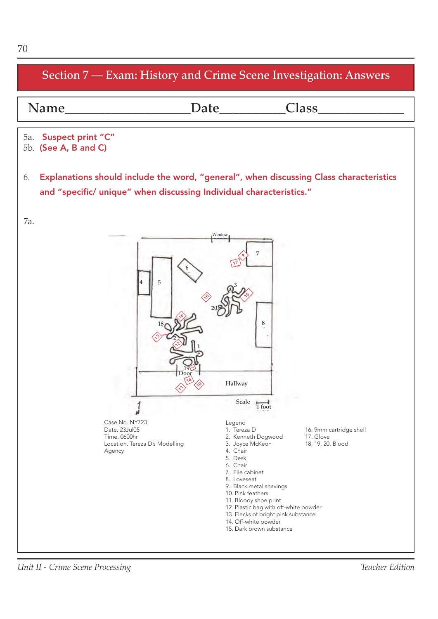![](_page_30_Figure_1.jpeg)

*Unit II - Crime Scene Processing Teacher Edition*